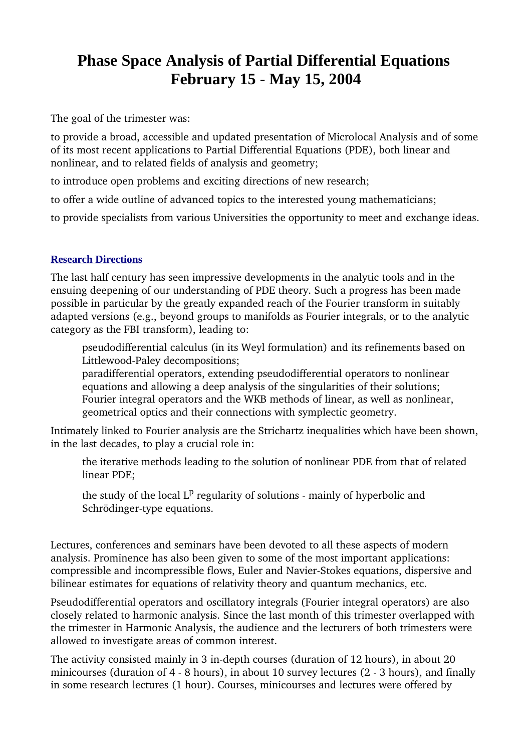## **Phase Space Analysis of Partial Differential Equations February 15 - May 15, 2004**

The goal of the trimester was:

to provide a broad, accessible and updated presentation of Microlocal Analysis and of some of its most recent applications to Partial Differential Equations (PDE), both linear and nonlinear, and to related fields of analysis and geometry;

to introduce open problems and exciting directions of new research;

to offer a wide outline of advanced topics to the interested young mathematicians;

to provide specialists from various Universities the opportunity to meet and exchange ideas.

## **Research Directions**

The last half century has seen impressive developments in the analytic tools and in the ensuing deepening of our understanding of PDE theory. Such a progress has been made possible in particular by the greatly expanded reach of the Fourier transform in suitably adapted versions (e.g., beyond groups to manifolds as Fourier integrals, or to the analytic category as the FBI transform), leading to:

pseudodifferential calculus (in its Weyl formulation) and its refinements based on Littlewood-Paley decompositions;

paradifferential operators, extending pseudodifferential operators to nonlinear equations and allowing a deep analysis of the singularities of their solutions; Fourier integral operators and the WKB methods of linear, as well as nonlinear, geometrical optics and their connections with symplectic geometry.

Intimately linked to Fourier analysis are the Strichartz inequalities which have been shown, in the last decades, to play a crucial role in:

the iterative methods leading to the solution of nonlinear PDE from that of related linear PDE;

the study of the local L<sup>p</sup> regularity of solutions - mainly of hyperbolic and Schrödinger-type equations.

Lectures, conferences and seminars have been devoted to all these aspects of modern analysis. Prominence has also been given to some of the most important applications: compressible and incompressible flows, Euler and Navier-Stokes equations, dispersive and bilinear estimates for equations of relativity theory and quantum mechanics, etc.

Pseudodifferential operators and oscillatory integrals (Fourier integral operators) are also closely related to harmonic analysis. Since the last month of this trimester overlapped with the trimester in Harmonic Analysis, the audience and the lecturers of both trimesters were allowed to investigate areas of common interest.

The activity consisted mainly in 3 in-depth courses (duration of 12 hours), in about 20 minicourses (duration of  $4 - 8$  hours), in about 10 survey lectures ( $2 - 3$  hours), and finally in some research lectures (1 hour). Courses, minicourses and lectures were offered by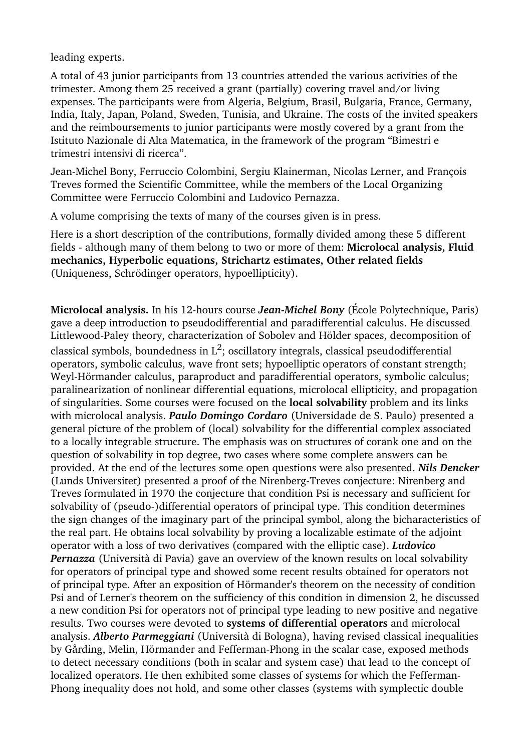leading experts.

A total of 43 junior participants from 13 countries attended the various activities of the trimester. Among them 25 received a grant (partially) covering travel and/or living expenses. The participants were from Algeria, Belgium, Brasil, Bulgaria, France, Germany, India, Italy, Japan, Poland, Sweden, Tunisia, and Ukraine. The costs of the invited speakers and the reimboursements to junior participants were mostly covered by a grant from the Istituto Nazionale di Alta Matematica, in the framework of the program "Bimestri e trimestri intensivi di ricerca".

Jean-Michel Bony, Ferruccio Colombini, Sergiu Klainerman, Nicolas Lerner, and François Treves formed the Scientific Committee, while the members of the Local Organizing Committee were Ferruccio Colombini and Ludovico Pernazza.

A volume comprising the texts of many of the courses given is in press.

Here is a short description of the contributions, formally divided among these 5 different fields although many of them belong to two or more of them: **Microlocal analysis, Fluid mechanics, Hyperbolic equations, Strichartz estimates, Other related fields** (Uniqueness, Schrödinger operators, hypoellipticity).

**Microlocal analysis.** In his 12-hours course *Jean-Michel Bony* (École Polytechnique, Paris) gave a deep introduction to pseudodifferential and paradifferential calculus. He discussed Littlewood-Paley theory, characterization of Sobolev and Hölder spaces, decomposition of classical symbols, boundedness in  $L^2$ ; oscillatory integrals, classical pseudodifferential operators, symbolic calculus, wave front sets; hypoelliptic operators of constant strength; Weyl-Hörmander calculus, paraproduct and paradifferential operators, symbolic calculus; paralinearization of nonlinear differential equations, microlocal ellipticity, and propagation of singularities. Some courses were focused on the **local solvability** problem and its links with microlocal analysis. *Paulo Domingo Cordaro* (Universidade de S. Paulo) presented a general picture of the problem of (local) solvability for the differential complex associated to a locally integrable structure. The emphasis was on structures of corank one and on the question of solvability in top degree, two cases where some complete answers can be provided. At the end of the lectures some open questions were also presented. *Nils Dencker* (Lunds Universitet) presented a proof of the Nirenberg-Treves conjecture: Nirenberg and Treves formulated in 1970 the conjecture that condition Psi is necessary and sufficient for solvability of (pseudo-)differential operators of principal type. This condition determines the sign changes of the imaginary part of the principal symbol, along the bicharacteristics of the real part. He obtains local solvability by proving a localizable estimate of the adjoint operator with a loss of two derivatives (compared with the elliptic case). *Ludovico Pernazza* (Università di Pavia) gave an overview of the known results on local solvability for operators of principal type and showed some recent results obtained for operators not of principal type. After an exposition of Hörmander's theorem on the necessity of condition Psi and of Lerner's theorem on the sufficiency of this condition in dimension 2, he discussed a new condition Psi for operators not of principal type leading to new positive and negative results. Two courses were devoted to **systems of differential operators** and microlocal analysis. *Alberto Parmeggiani* (Università di Bologna), having revised classical inequalities by Gårding, Melin, Hörmander and Fefferman-Phong in the scalar case, exposed methods to detect necessary conditions (both in scalar and system case) that lead to the concept of localized operators. He then exhibited some classes of systems for which the Fefferman-Phong inequality does not hold, and some other classes (systems with symplectic double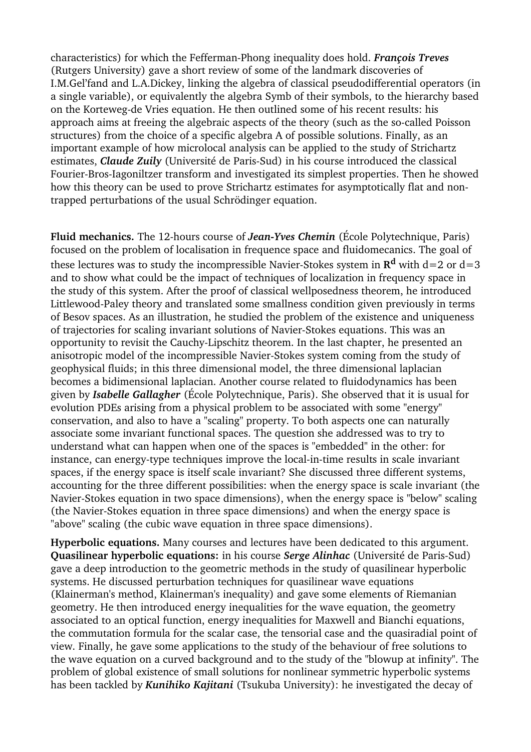characteristics) for which the FeffermanPhong inequality does hold. *François Treves* (Rutgers University) gave a short review of some of the landmark discoveries of I.M.Gel'fand and L.A.Dickey, linking the algebra of classical pseudodifferential operators (in a single variable), or equivalently the algebra Symb of their symbols, to the hierarchy based on the Korteweg-de Vries equation. He then outlined some of his recent results: his approach aims at freeing the algebraic aspects of the theory (such as the so-called Poisson structures) from the choice of a specific algebra A of possible solutions. Finally, as an important example of how microlocal analysis can be applied to the study of Strichartz estimates, *Claude Zuily* (Université de Paris-Sud) in his course introduced the classical Fourier-Bros-Iagoniltzer transform and investigated its simplest properties. Then he showed how this theory can be used to prove Strichartz estimates for asymptotically flat and nontrapped perturbations of the usual Schrödinger equation.

**Fluid mechanics.** The 12-hours course of *Jean-Yves Chemin* (École Polytechnique, Paris) focused on the problem of localisation in frequence space and fluidomecanics. The goal of these lectures was to study the incompressible Navier-Stokes system in  $\mathbf{R}^\mathbf{d}$  with d=2 or d=3 and to show what could be the impact of techniques of localization in frequency space in the study of this system. After the proof of classical wellposedness theorem, he introduced Littlewood-Paley theory and translated some smallness condition given previously in terms of Besov spaces. As an illustration, he studied the problem of the existence and uniqueness of trajectories for scaling invariant solutions of Navier-Stokes equations. This was an opportunity to revisit the Cauchy-Lipschitz theorem. In the last chapter, he presented an anisotropic model of the incompressible Navier-Stokes system coming from the study of geophysical fluids; in this three dimensional model, the three dimensional laplacian becomes a bidimensional laplacian. Another course related to fluidodynamics has been given by *Isabelle Gallagher* (École Polytechnique, Paris). She observed that it is usual for evolution PDEs arising from a physical problem to be associated with some "energy" conservation, and also to have a "scaling" property. To both aspects one can naturally associate some invariant functional spaces. The question she addressed was to try to understand what can happen when one of the spaces is "embedded" in the other: for instance, can energy-type techniques improve the local-in-time results in scale invariant spaces, if the energy space is itself scale invariant? She discussed three different systems, accounting for the three different possibilities: when the energy space is scale invariant (the Navier-Stokes equation in two space dimensions), when the energy space is "below" scaling (the Navier-Stokes equation in three space dimensions) and when the energy space is "above" scaling (the cubic wave equation in three space dimensions).

**Hyperbolic equations.** Many courses and lectures have been dedicated to this argument. **Quasilinear hyperbolic equations:** in his course *Serge Alinhac* (Université de Paris-Sud) gave a deep introduction to the geometric methods in the study of quasilinear hyperbolic systems. He discussed perturbation techniques for quasilinear wave equations (Klainerman's method, Klainerman's inequality) and gave some elements of Riemanian geometry. He then introduced energy inequalities for the wave equation, the geometry associated to an optical function, energy inequalities for Maxwell and Bianchi equations, the commutation formula for the scalar case, the tensorial case and the quasiradial point of view. Finally, he gave some applications to the study of the behaviour of free solutions to the wave equation on a curved background and to the study of the "blowup at infinity". The problem of global existence of small solutions for nonlinear symmetric hyperbolic systems has been tackled by *Kunihiko Kajitani* (Tsukuba University): he investigated the decay of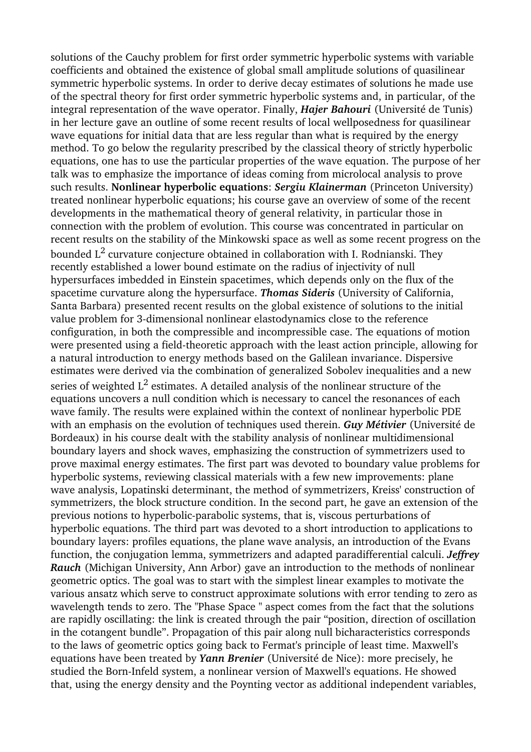solutions of the Cauchy problem for first order symmetric hyperbolic systems with variable coefficients and obtained the existence of global small amplitude solutions of quasilinear symmetric hyperbolic systems. In order to derive decay estimates of solutions he made use of the spectral theory for first order symmetric hyperbolic systems and, in particular, of the integral representation of the wave operator. Finally, *Hajer Bahouri* (Université de Tunis) in her lecture gave an outline of some recent results of local wellposedness for quasilinear wave equations for initial data that are less regular than what is required by the energy method. To go below the regularity prescribed by the classical theory of strictly hyperbolic equations, one has to use the particular properties of the wave equation. The purpose of her talk was to emphasize the importance of ideas coming from microlocal analysis to prove such results. **Nonlinear hyperbolic equations**: *Sergiu Klainerman* (Princeton University) treated nonlinear hyperbolic equations; his course gave an overview of some of the recent developments in the mathematical theory of general relativity, in particular those in connection with the problem of evolution. This course was concentrated in particular on recent results on the stability of the Minkowski space as well as some recent progress on the bounded  $\operatorname{L{}}^2$  curvature conjecture obtained in collaboration with I. Rodnianski. They recently established a lower bound estimate on the radius of injectivity of null hypersurfaces imbedded in Einstein spacetimes, which depends only on the flux of the spacetime curvature along the hypersurface. *Thomas Sideris* (University of California, Santa Barbara) presented recent results on the global existence of solutions to the initial value problem for 3-dimensional nonlinear elastodynamics close to the reference configuration, in both the compressible and incompressible case. The equations of motion were presented using a field-theoretic approach with the least action principle, allowing for a natural introduction to energy methods based on the Galilean invariance. Dispersive estimates were derived via the combination of generalized Sobolev inequalities and a new series of weighted  $\text{L}^2$  estimates. A detailed analysis of the nonlinear structure of the equations uncovers a null condition which is necessary to cancel the resonances of each wave family. The results were explained within the context of nonlinear hyperbolic PDE with an emphasis on the evolution of techniques used therein. *Guy Métivier* (Université de Bordeaux) in his course dealt with the stability analysis of nonlinear multidimensional boundary layers and shock waves, emphasizing the construction of symmetrizers used to prove maximal energy estimates. The first part was devoted to boundary value problems for hyperbolic systems, reviewing classical materials with a few new improvements: plane wave analysis, Lopatinski determinant, the method of symmetrizers, Kreiss' construction of symmetrizers, the block structure condition. In the second part, he gave an extension of the previous notions to hyperbolic-parabolic systems, that is, viscous perturbations of hyperbolic equations. The third part was devoted to a short introduction to applications to boundary layers: profiles equations, the plane wave analysis, an introduction of the Evans function, the conjugation lemma, symmetrizers and adapted paradifferential calculi. *Jeffrey Rauch* (Michigan University, Ann Arbor) gave an introduction to the methods of nonlinear geometric optics. The goal was to start with the simplest linear examples to motivate the various ansatz which serve to construct approximate solutions with error tending to zero as wavelength tends to zero. The "Phase Space " aspect comes from the fact that the solutions are rapidly oscillating: the link is created through the pair "position, direction of oscillation in the cotangent bundle". Propagation of this pair along null bicharacteristics corresponds to the laws of geometric optics going back to Fermat's principle of least time. Maxwell's equations have been treated by *Yann Brenier* (Université de Nice): more precisely, he studied the Born-Infeld system, a nonlinear version of Maxwell's equations. He showed that, using the energy density and the Poynting vector as additional independent variables,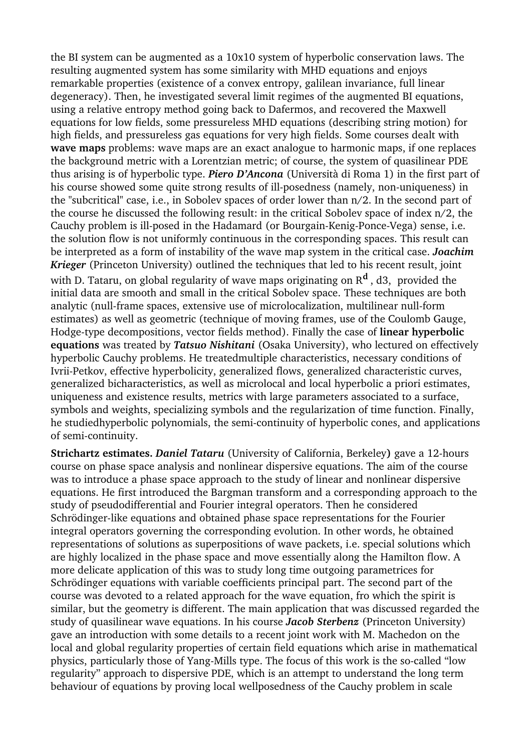the BI system can be augmented as a 10x10 system of hyperbolic conservation laws. The resulting augmented system has some similarity with MHD equations and enjoys remarkable properties (existence of a convex entropy, galilean invariance, full linear degeneracy). Then, he investigated several limit regimes of the augmented BI equations, using a relative entropy method going back to Dafermos, and recovered the Maxwell equations for low fields, some pressureless MHD equations (describing string motion) for high fields, and pressureless gas equations for very high fields. Some courses dealt with **wave maps** problems: wave maps are an exact analogue to harmonic maps, if one replaces the background metric with a Lorentzian metric; of course, the system of quasilinear PDE thus arising is of hyperbolic type. *Piero D'Ancona* (Università di Roma 1) in the first part of his course showed some quite strong results of ill-posedness (namely, non-uniqueness) in the "subcritical" case, i.e., in Sobolev spaces of order lower than n/2. In the second part of the course he discussed the following result: in the critical Sobolev space of index n/2, the Cauchy problem is ill-posed in the Hadamard (or Bourgain-Kenig-Ponce-Vega) sense, i.e. the solution flow is not uniformly continuous in the corresponding spaces. This result can be interpreted as a form of instability of the wave map system in the critical case. *Joachim Krieger* (Princeton University) outlined the techniques that led to his recent result, joint with D. Tataru, on global regularity of wave maps originating on R**<sup>d</sup>** , d3, provided the initial data are smooth and small in the critical Sobolev space. These techniques are both analytic (null-frame spaces, extensive use of microlocalization, multilinear null-form estimates) as well as geometric (technique of moving frames, use of the Coulomb Gauge, Hodgetype decompositions, vector fields method). Finally the case of **linear hyperbolic equations** was treated by *Tatsuo Nishitani* (Osaka University), who lectured on effectively hyperbolic Cauchy problems. He treatedmultiple characteristics, necessary conditions of Ivrii-Petkov, effective hyperbolicity, generalized flows, generalized characteristic curves, generalized bicharacteristics, as well as microlocal and local hyperbolic a priori estimates, uniqueness and existence results, metrics with large parameters associated to a surface, symbols and weights, specializing symbols and the regularization of time function. Finally, he studiedhyperbolic polynomials, the semi-continuity of hyperbolic cones, and applications of semi-continuity.

**Strichartz estimates.** *Daniel Tataru* (University of California, Berkeley**)** gave a 12hours course on phase space analysis and nonlinear dispersive equations. The aim of the course was to introduce a phase space approach to the study of linear and nonlinear dispersive equations. He first introduced the Bargman transform and a corresponding approach to the study of pseudodifferential and Fourier integral operators. Then he considered Schrödinger-like equations and obtained phase space representations for the Fourier integral operators governing the corresponding evolution. In other words, he obtained representations of solutions as superpositions of wave packets, i.e. special solutions which are highly localized in the phase space and move essentially along the Hamilton flow. A more delicate application of this was to study long time outgoing parametrices for Schrödinger equations with variable coefficients principal part. The second part of the course was devoted to a related approach for the wave equation, fro which the spirit is similar, but the geometry is different. The main application that was discussed regarded the study of quasilinear wave equations. In his course *Jacob Sterbenz* (Princeton University) gave an introduction with some details to a recent joint work with M. Machedon on the local and global regularity properties of certain field equations which arise in mathematical physics, particularly those of Yang-Mills type. The focus of this work is the so-called "low regularity" approach to dispersive PDE, which is an attempt to understand the long term behaviour of equations by proving local wellposedness of the Cauchy problem in scale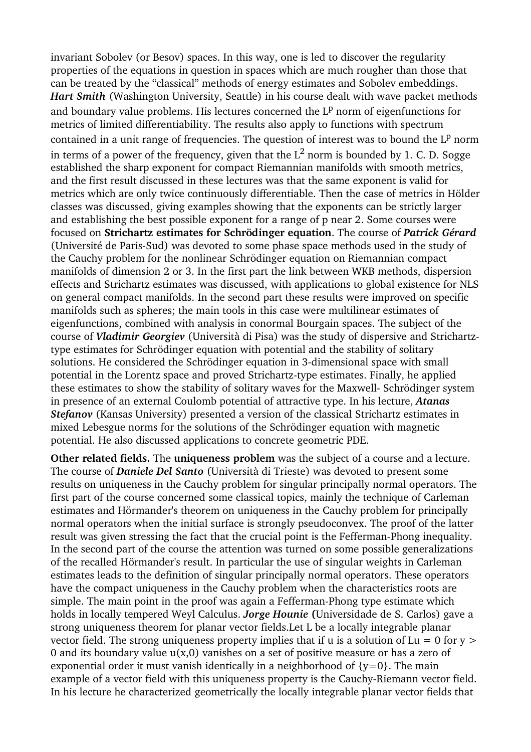invariant Sobolev (or Besov) spaces. In this way, one is led to discover the regularity properties of the equations in question in spaces which are much rougher than those that can be treated by the "classical" methods of energy estimates and Sobolev embeddings. *Hart Smith* (Washington University, Seattle) in his course dealt with wave packet methods and boundary value problems. His lectures concerned the  $L^p$  norm of eigenfunctions for metrics of limited differentiability. The results also apply to functions with spectrum contained in a unit range of frequencies. The question of interest was to bound the  $L^p$  norm in terms of a power of the frequency, given that the  $L^2$  norm is bounded by 1. C. D. Sogge established the sharp exponent for compact Riemannian manifolds with smooth metrics, and the first result discussed in these lectures was that the same exponent is valid for metrics which are only twice continuously differentiable. Then the case of metrics in Hölder classes was discussed, giving examples showing that the exponents can be strictly larger and establishing the best possible exponent for a range of p near 2. Some courses were focused on **Strichartz estimates for Schrödinger equation**. The course of *Patrick Gérard* (Université de Paris-Sud) was devoted to some phase space methods used in the study of the Cauchy problem for the nonlinear Schrödinger equation on Riemannian compact manifolds of dimension 2 or 3. In the first part the link between WKB methods, dispersion effects and Strichartz estimates was discussed, with applications to global existence for NLS on general compact manifolds. In the second part these results were improved on specific manifolds such as spheres; the main tools in this case were multilinear estimates of eigenfunctions, combined with analysis in conormal Bourgain spaces. The subject of the course of *Vladimir Georgiev* (Università di Pisa) was the study of dispersive and Strichartztype estimates for Schrödinger equation with potential and the stability of solitary solutions. He considered the Schrödinger equation in 3-dimensional space with small potential in the Lorentz space and proved Strichartz-type estimates. Finally, he applied these estimates to show the stability of solitary waves for the Maxwell- Schrödinger system in presence of an external Coulomb potential of attractive type. In his lecture, *Atanas Stefanov* (Kansas University) presented a version of the classical Strichartz estimates in mixed Lebesgue norms for the solutions of the Schrödinger equation with magnetic potential. He also discussed applications to concrete geometric PDE.

**Other related fields.** The **uniqueness problem** was the subject of a course and a lecture. The course of *Daniele Del Santo* (Università di Trieste) was devoted to present some results on uniqueness in the Cauchy problem for singular principally normal operators. The first part of the course concerned some classical topics, mainly the technique of Carleman estimates and Hörmander's theorem on uniqueness in the Cauchy problem for principally normal operators when the initial surface is strongly pseudoconvex. The proof of the latter result was given stressing the fact that the crucial point is the Fefferman-Phong inequality. In the second part of the course the attention was turned on some possible generalizations of the recalled Hörmander's result. In particular the use of singular weights in Carleman estimates leads to the definition of singular principally normal operators. These operators have the compact uniqueness in the Cauchy problem when the characteristics roots are simple. The main point in the proof was again a Fefferman-Phong type estimate which holds in locally tempered Weyl Calculus. *Jorge Hounie* **(**Universidade de S. Carlos) gave a strong uniqueness theorem for planar vector fields.Let L be a locally integrable planar vector field. The strong uniqueness property implies that if u is a solution of Lu = 0 for  $v >$ 0 and its boundary value  $u(x,0)$  vanishes on a set of positive measure or has a zero of exponential order it must vanish identically in a neighborhood of  $\{v=0\}$ . The main example of a vector field with this uniqueness property is the Cauchy-Riemann vector field. In his lecture he characterized geometrically the locally integrable planar vector fields that